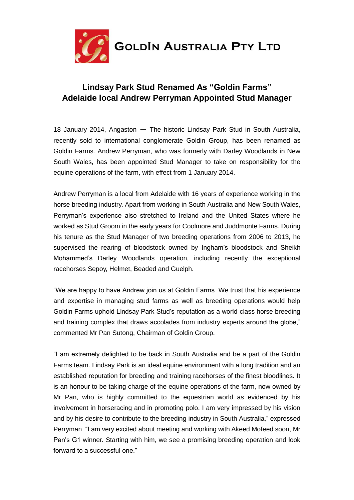

## **Lindsay Park Stud Renamed As "Goldin Farms" Adelaide local Andrew Perryman Appointed Stud Manager**

18 January 2014, Angaston — The historic Lindsay Park Stud in South Australia, recently sold to international conglomerate Goldin Group, has been renamed as Goldin Farms. Andrew Perryman, who was formerly with Darley Woodlands in New South Wales, has been appointed Stud Manager to take on responsibility for the equine operations of the farm, with effect from 1 January 2014.

Andrew Perryman is a local from Adelaide with 16 years of experience working in the horse breeding industry. Apart from working in South Australia and New South Wales, Perryman's experience also stretched to Ireland and the United States where he worked as Stud Groom in the early years for Coolmore and Juddmonte Farms. During his tenure as the Stud Manager of two breeding operations from 2006 to 2013, he supervised the rearing of bloodstock owned by Ingham's bloodstock and Sheikh Mohammed's Darley Woodlands operation, including recently the exceptional racehorses Sepoy, Helmet, Beaded and Guelph.

"We are happy to have Andrew join us at Goldin Farms. We trust that his experience and expertise in managing stud farms as well as breeding operations would help Goldin Farms uphold Lindsay Park Stud's reputation as a world-class horse breeding and training complex that draws accolades from industry experts around the globe," commented Mr Pan Sutong, Chairman of Goldin Group.

"I am extremely delighted to be back in South Australia and be a part of the Goldin Farms team. Lindsay Park is an ideal equine environment with a long tradition and an established reputation for breeding and training racehorses of the finest bloodlines. It is an honour to be taking charge of the equine operations of the farm, now owned by Mr Pan, who is highly committed to the equestrian world as evidenced by his involvement in horseracing and in promoting polo. I am very impressed by his vision and by his desire to contribute to the breeding industry in South Australia," expressed Perryman. "I am very excited about meeting and working with Akeed Mofeed soon, Mr Pan's G1 winner. Starting with him, we see a promising breeding operation and look forward to a successful one."